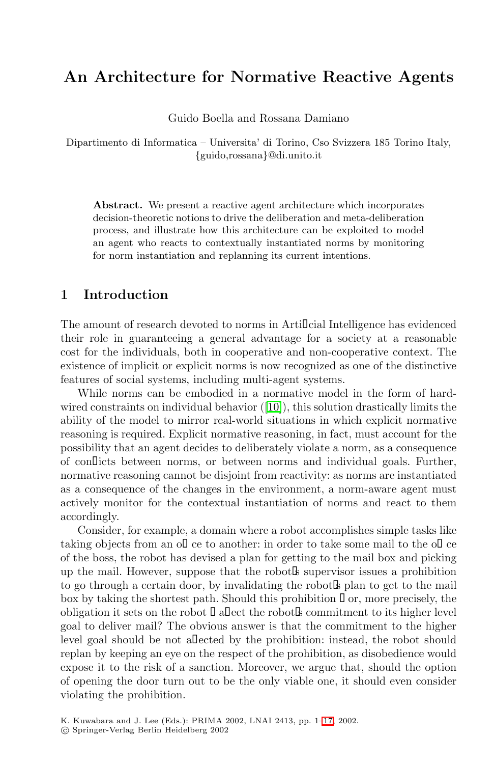# **An Architecture for Normative Reactive Agents**

Guido Boella and Rossana Damiano

Dipartimento di Informatica – Universita' di Torino, Cso Svizzera 185 Torino Italy, {guido,rossana}@di.unito.it

**Abstract.** We present a reactive agent architecture which incorporates decision-theoretic notions to drive the deliberation and meta-deliberation process, and illustrate how this architecture can be exploited to model an agent who reacts to contextually instantiated norms by monitoring for norm instantiation and replanning its current intentions.

# **1 Introduction**

The amount of research devoted to norms in Artificial Intelligence has evidenced their role in guaranteeing a general advantage for a society at a reasonable cost for the individuals, both in cooperative and non-cooperative context.The existence of implicit or explicit norms is now recognized as one of the distinctive features of social systems, including multi-agent systems.

While norms can be embodied in a normative model in the form of hardwired constraints on individual behavior  $([10])$ , this solution drastically limits the ability of the model to mirror real-world situations in which explicit normative reasoning is required.Explicit normative reasoning, in fact, must account for the possibility that an agent decides to deliberately violate a norm, as a consequence of conflicts between norms, or between norms and individual goals.Further, normative reasoning cannot be disjoint from reactivity: as norms are instantiated as a consequence of the changes in the environment, a norm-aware agent must actively monitor for the contextual instantiation of norms and react to them accordingly.

Consider, for example, a domain where a robot accomplishes simple tasks like taking objects from an oece to another: in order to take some mail to the oece of the boss, the robot has devised a plan for getting to the mail box and picking up the mail.However, suppose that the robot's supervisor issues a prohibition to go through a certain door, by invalidating the robot's plan to get to the mail box by taking the shortest path. [Sho](#page-16-0)uld this prohibition  $-\text{or}$ , more precisely, the obligation it sets on the robot –  $a$  ect the robot's commitment to its higher level goal to deliver mail? The obvious answer is that the commitment to the higher level goal should be not a ected by the prohibition: instead, the robot should replan by keeping an eye on the respect of the prohibition, as disobedience would expose it to the risk of a sanction.Moreover, we argue that, should the option of opening the door turn out to be the only viable one, it should even consider violating the prohibition.

K. Kuwabara and J. Lee (Eds.): PRIMA 2002, LNAI 2413, pp. 1–17, 2002.

c Springer-Verlag Berlin Heidelberg 2002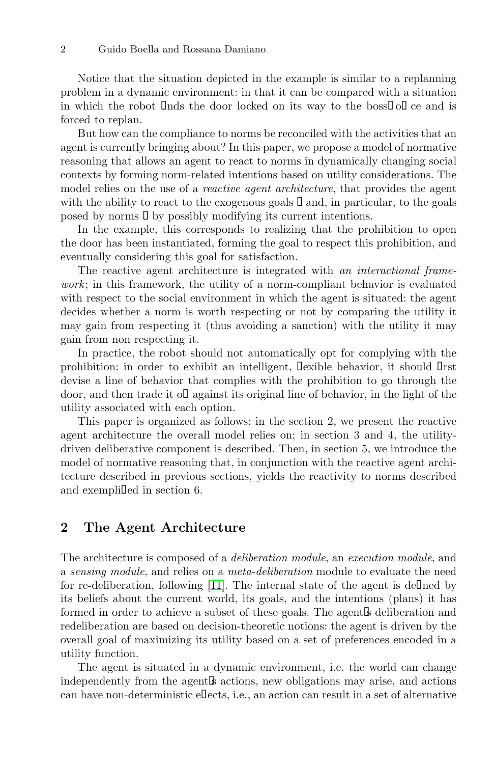<span id="page-1-0"></span>Notice that the situation depicted in the example is similar to a replanning problem in a dynamic environment: in that it can be compared with a situation in which the robot finds the door locked on its way to the boss' of ce and is forced to replan.

But how can the compliance to norms be reconciled with the activities that an agent is currently bringing about? In this paper, we propose a model of normative reasoning that allows an agent to react to norms in dynamically changing social contexts by forming norm-related intentions based on utility considerations.The model relies on the use of a *reactive agent architecture*, that provides the agent with the ability to react to the exogenous goals – and, in particular, to the goals posed by norms – by possibly modifying its current intentions.

In the example, this corresponds to realizing that the prohibition to open the door has been instantiated, forming the goal to respect this prohibition, and eventually considering this goal for satisfaction.

The reactive agent architecture is integrated with an interactional framework; in this framework, the utility of a norm-compliant behavior is evaluated with respect to the social environment in which the agent is situated: the agent decides whether a norm is worth respecting or not by comparing the utility it may gain from respecting it (thus avoiding a sanction) with the utility it may gain from non respecting it.

In practice, the robot should not automatically opt for complying with the prohibition: in order to exhibit an intelligent, flexible behavior, it should first devise a line of behavior that complies with the prohibition to go through the door, and then trade it o against its original line of behavior, in the light of the utility associated with each option.

This paper is organized as follows: in the section 2, we present the reactive agent architecture the overall model relies on; in section 3 and 4, the utilitydriven deliberative component is described.Then, in section 5, we introduce the model of normative reasoning that, in conjunction with the reactive agent architecture described in previous sections, yields the reactivity to norms described and exemplified in section 6.

# **2 The Agent Architecture**

The architecture is composed of a *deliberation module*, an execution module, and a sensing module, and relies on a meta-deliberation module to evaluate the need for re-deliberation, following [\[11\]](#page-16-0).The internal state of the agent is defined by its beliefs about the current world, its goals, and the intentions (plans) it has formed in order to achieve a subset of these goals. The agent's deliberation and redeliberation are based on decision-theoretic notions: the agent is driven by the overall goal of maximizing its utility based on a set of preferences encoded in a utility function.

The agent is situated in a dynamic environment, i.e. the world can change independently from the agent's actions, new obligations may arise, and actions can have non-deterministic e ects, i.e., an action can result in a set of alternative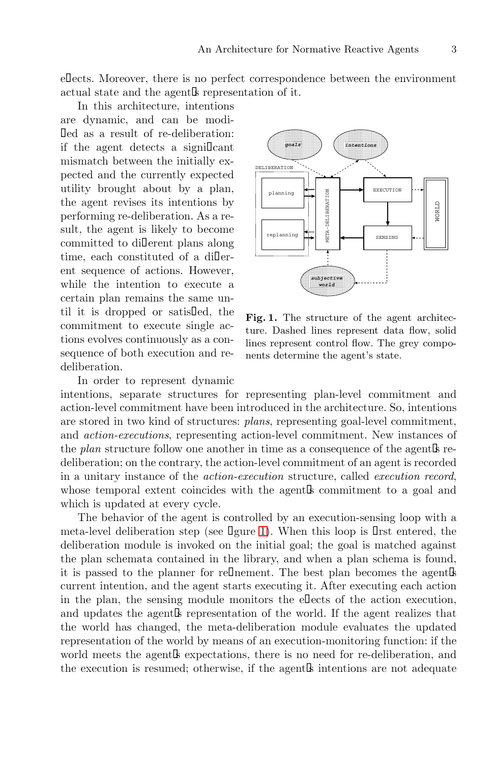e ects. Moreover, there is no perfect correspondence between the environment actual state and the agent's representation of it.

In this architecture, intentions are dynamic, and can be modified as a result of re-deliberation: if the agent detects a significant mismatch between the initially expected and the currently expected utility brought about by a plan, the agent revises its intentions by performing re-deliberation.As a result, the agent is likely to become committed to dierent plans along time, each constituted of a di erent sequence of actions. However, while the intention to execute a certain plan remains the same until it is dropped or satisfied, the commitment to execute single actions evolves continuously as a consequence of both execution and redeliberation.

In order to represent dynamic intentions, separate structures for representing plan-level commitment and action-level commitment have been introduced in the architecture. So, intentions are stored in two kind of structures: plans, representing goal-level commitment, and *action-executions*, representing action-level commitment. New instances of the plan structure follow one another in time as a consequence of the agent's redeliberation; on the contrary, the action-level commitment of an agent is recorded in a unitary instance of the action-execution structure, called execution record, whose temporal extent coincides with the agent's commitment to a goal and which is updated at every cycle.

The behavior of the agent is controlled by an execution-sensing loop with a meta-level deliberation step (see figure 1).When this loop is first entered, the deliberation module is invoked on the initial goal; the goal is matched against the plan schemata contained in the library, and when a plan schema is found, it is passed to the planner for refinement.The best plan becomes the agent's current intention, and the agent starts executing it.After executing each action in the plan, the sensing module monitors the e ects of the action execution. and updates the agent's representation of the world.If the agent realizes that the world has changed, the meta-deliberation module evaluates the updated representation of the world by means of an execution-monitoring function: if the world meets the agent's expectations, there is no need for re-deliberation, and the execution is resumed; otherwise, if the agent's intentions are not adequate

*goals intentions* DELIBERATION EXECUTION planning DELIBERATION *world*META-DELIBERATION WORLD **META**replanning SENSING *subjective*

**Fig. 1.** The structure of the agent architecture. Dashed lines represent data flow, solid lines represent control flow. The grey components determine the agent's state.

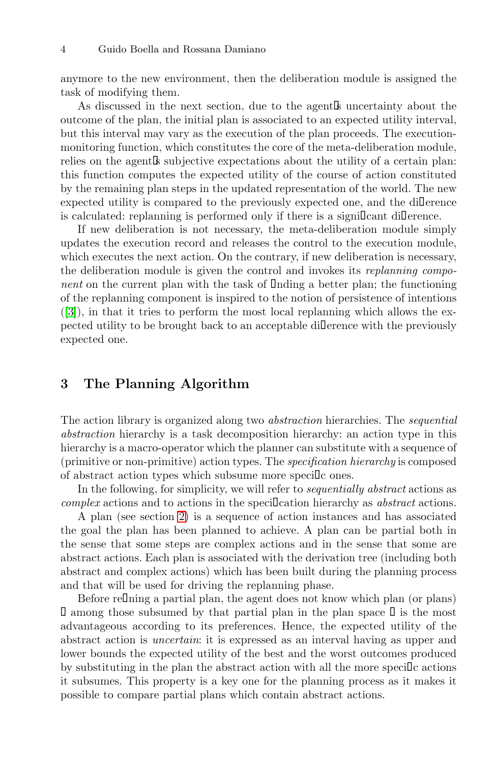anymore to the new environment, then the deliberation module is assigned the task of modifying them.

As discussed in the next section, due to the agent's uncertainty about the outcome of the plan, the initial plan is associated to an expected utility interval, but this interval may vary as the execution of the plan proceeds.The executionmonitoring function, which constitutes the core of the meta-deliberation module, relies on the agent's subjective expectations about the utility of a certain plan: this function computes the expected utility of the course of action constituted by the remaining plan steps in the updated representation of the world.The new expected utility is compared to the previously expected one, and the dievence is calculated: replanning is performed only if there is a significant dieference.

If new deliberation is not necessary, the meta-deliberation module simply updates the execution record and releases the control to the execution module, which executes the next action. On the contrary, if new deliberation is necessary, the deliberation module is given the control and invokes its *replanning compo*nent on the current plan with the task of finding a better plan; the functioning of the replanning component is inspired to the notion of persistence of intentions ([\[3\]](#page-15-0)), in that it tries to perform the most local replanning which allows the expected utility to be brought back to an acceptable dievence with the previously expected one.

# **3 The Planning Algorithm**

The action library is organized along two *abstraction* hierarchies. The *sequential* abstraction hierarchy is a task decomposition hierarchy: an action type in this hierarchy is a macro-operator which the planner can substitute with a sequence of (primitive or non-primitive) action types. The *specification hierarchy* is composed of abstract action types which subsume more specific ones.

In the following, for simplicity, we will refer to *sequentially abstract* actions as complex actions and to actions in the specification hierarchy as abstract actions.

A plan (see section [2\)](#page-1-0) is a sequence of action instances and has associated the goal the plan has been planned to achieve.A plan can be partial both in the sense that some steps are complex actions and in the sense that some are abstract actions.Each plan is associated with the derivation tree (including both abstract and complex actions) which has been built during the planning process and that will be used for driving the replanning phase.

Before refining a partial plan, the agent does not know which plan (or plans)  $-$  among those subsumed by that partial plan in the plan space  $-$  is the most advantageous according to its preferences. Hence, the expected utility of the abstract action is uncertain: it is expressed as an interval having as upper and lower bounds the expected utility of the best and the worst outcomes produced by substituting in the plan the abstract action with all the more specific actions it subsumes.This property is a key one for the planning process as it makes it possible to compare partial plans which contain abstract actions.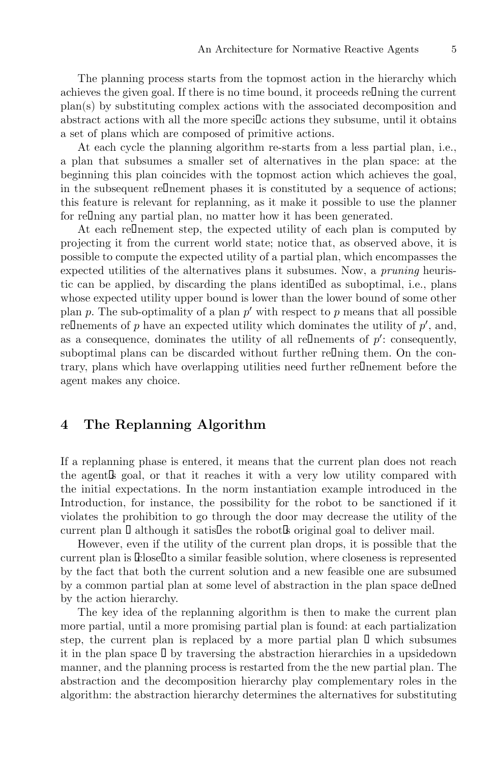<span id="page-4-0"></span>The planning process starts from the topmost action in the hierarchy which achieves the given goal.If there is no time bound, it proceeds refining the current plan(s) by substituting complex actions with the associated decomposition and abstract actions with all the more specific actions they subsume, until it obtains a set of plans which are composed of primitive actions.

At each cycle the planning algorithm re-starts from a less partial plan, i.e., a plan that subsumes a smaller set of alternatives in the plan space: at the beginning this plan coincides with the topmost action which achieves the goal, in the subsequent refinement phases it is constituted by a sequence of actions; this feature is relevant for replanning, as it make it possible to use the planner for refining any partial plan, no matter how it has been generated.

At each refinement step, the expected utility of each plan is computed by projecting it from the current world state; notice that, as observed above, it is possible to compute the expected utility of a partial plan, which encompasses the expected utilities of the alternatives plans it subsumes. Now, a *pruning* heuristic can be applied, by discarding the plans identified as suboptimal, i.e., plans whose expected utility upper bound is lower than the lower bound of some other plan  $p$ . The sub-optimality of a plan  $p'$  with respect to  $p$  means that all possible refinements of  $p$  have an expected utility which dominates the utility of  $p'$ , and, as a consequence, dominates the utility of all refinements of  $p'$ : consequently, suboptimal plans can be discarded without further refining them. On the contrary, plans which have overlapping utilities need further refinement before the agent makes any choice.

# **4 The Replanning Algorithm**

If a replanning phase is entered, it means that the current plan does not reach the agent's goal, or that it reaches it with a very low utility compared with the initial expectations.In the norm instantiation example introduced in the Introduction, for instance, the possibility for the robot to be sanctioned if it violates the prohibition to go through the door may decrease the utility of the current plan – although it satisfies the robot's original goal to deliver mail.

However, even if the utility of the current plan drops, it is possible that the current plan is 'close' to a similar feasible solution, where closeness is represented by the fact that both the current solution and a new feasible one are subsumed by a common partial plan at some level of abstraction in the plan space defined by the action hierarchy.

The key idea of the replanning algorithm is then to make the current plan more partial, until a more promising partial plan is found: at each partialization step, the current plan is replaced by a more partial plan – which subsumes it in the plan space – by traversing the abstraction hierarchies in a upsidedown manner, and the planning process is restarted from the the new partial plan. The abstraction and the decomposition hierarchy play complementary roles in the algorithm: the abstraction hierarchy determines the alternatives for substituting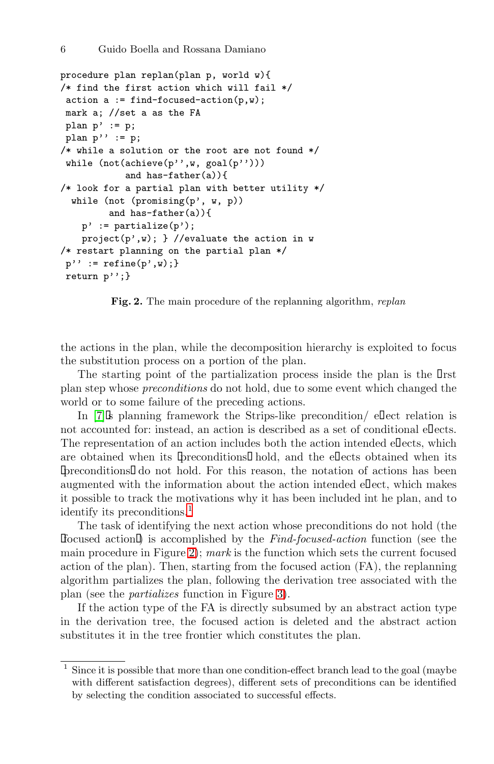```
procedure plan replan(plan p, world w){
/* find the first action which will fail */
action a := find-focused-action(p,w);mark a; //set a as the FA
plan p' := p;
plan p' := p;
/* while a solution or the root are not found */
while (not(achieve(p'', w, goal(p'')))and has-father(a)){
/* look for a partial plan with better utility */
 while (not (promising(p', w, p))
         and has-father(a)){
   p' := partialize(p);
   project(p',w); \} //evaluate the action in w
/* restart planning on the partial plan */
p' := refine(p', w); }
return p'';}
```
Fig. 2. The main procedure of the replanning algorithm, replan

the actions in the plan, while the decomposition hierarchy is exploited to focus the substitution process on a portion of the plan.

The starting point of the partialization process inside the plan is the first plan step whose preconditions do not hold, due to some event which changed the world or to some failure of the preceding actions.

In [\[7\]](#page-15-0)'s planning framework the Strips-like precondition/ e ect relation is not accounted for: instead, an action is described as a set of conditional e ects. The representation of an action includes both the action intended e ects, which are obtained when its 'preconditions' hold, and the e ects obtained when its 'preconditions' do not hold.For this reason, the notation of actions has been augmented with the information about the action intended e ect, which makes it possible to track the motivations why it has been included int he plan, and to identify its preconditions.<sup>1</sup>

The task of identifying the next action whose preconditions do not hold (the 'focused action') is accomplished by the Find-focused-action function (see the main procedure in Figure 2); mark is the function which sets the current focused action of the plan). Then, starting from the focused action  $(FA)$ , the replanning algorithm partializes the plan, following the derivation tree associated with the plan (see the partializes function in Figure [3\)](#page-6-0).

If the action type of the FA is directly subsumed by an abstract action type in the derivation tree, the focused action is deleted and the abstract action substitutes it in the tree frontier which constitutes the plan.

 $^{\rm 1}$  Since it is possible that more than one condition-effect branch lead to the goal (maybe with different satisfaction degrees), different sets of preconditions can be identified by selecting the condition associated to successful effects.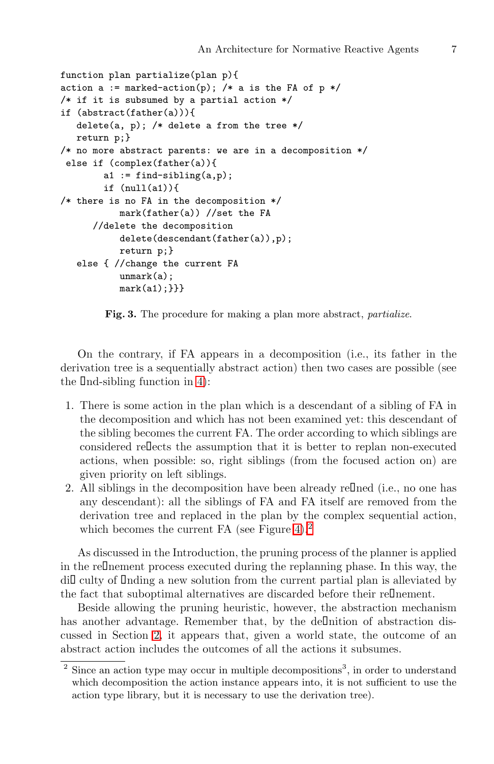```
function plan partialize(plan p){
action a := marked-action(p); /* a is the FA of p *//* if it is subsumed by a partial action */
if (abstract(father(a))){
  delete(a, p); /* delete a from the tree */return p;}
/* no more abstract parents: we are in a decomposition */
else if (complex(father(a)){
       a1 := find-sibling(a,p);
        if (null(a1))/* there is no FA in the decomposition */
          mark(father(a)) //set the FA
     //delete the decomposition
          delete(descendant(father(a)),p);
          return p;}
  else { //change the current FA
          unmark(a);
          mark(a1);}}}}
```
**Fig. 3.** The procedure for making a plan more abstract, partialize.

On the contrary, if FA appears in a decomposition (i.e., its father in the derivation tree is a sequentially abstract action) then two cases are possible (see the find-sibling function in [4\)](#page-7-0):

- 1.There is some action in the plan which is a descendant of a sibling of FA in the decomposition and which has not been examined yet: this descendant of the sibling becomes the current FA.The order according to which siblings are considered reflects the assumption that it is better to replan non-executed actions, when possible: so, right siblings (from the focused action on) are given priority on left siblings.
- 2. All siblings in the decomposition have been already refined (i.e., no one has any descendant): all the siblings of FA and FA itself are removed from the derivation tree and replaced in the plan by the complex sequential action, which becomes the current FA (see Figure  $4$ ).<sup>2</sup>

As discussed in the Introduction, the pruning process of the planner is applied in the refinement process executed during the replanning phase.In this way, the di culty of finding a new solution from the current partial plan is alleviated by the fact that suboptimal alternatives are discarded before their refinement.

Beside allowing the pruning heuristic, however, the abstraction mechanism has another advantage. Remember that, by the definition of abstraction discussed in Section [2,](#page-1-0) it appears that, given a world state, the outcome of an abstract action includes the outcomes of all the actions it subsumes.

Since an action type may occur in multiple decompositions<sup>3</sup>, in order to understand which decomposition the action instance appears into, it is not sufficient to use the action type library, but it is necessary to use the derivation tree).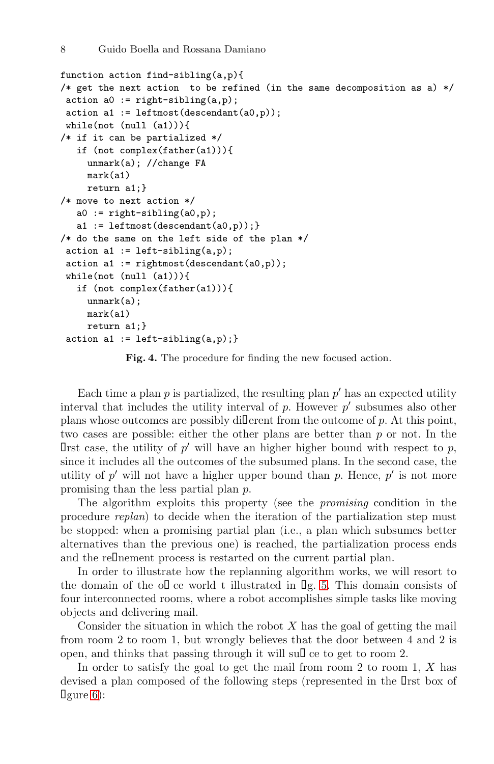```
function action find-sibling(a,p){
/* get the next action to be refined (in the same decomposition as a) */
action a0 := right-sibling(a,p);action a1 := leftmost(descendant(a0,p));
while(not (null (a1))){
/* if it can be partialized */
   if (not complex(father(a1))){
    unmark(a); //change FA
    mark(a1)
    return a1;}
/* move to next action */
  a0 := right-sibling(a0,p);a1 := leftmost(descendant(a0,p));/* do the same on the left side of the plan */
action a1 := left-sibling(a,p);action a1 := rightmost(descendant(a0,p));while(not (null (a1))){
   if (not complex(father(a1))){
    unmark(a);
    mark(a1)
    return a1;}
action a1 := left-sibling(a,p);
```
**Fig. 4.** The procedure for finding the new focused action.

Each time a plan  $p$  is partialized, the resulting plan  $p'$  has an expected utility interval that includes the utility interval of  $p$ . However  $p'$  subsumes also other plans whose outcomes are possibly different from the outcome of p. At this point, two cases are possible: either the other plans are better than  $p$  or not. In the first case, the utility of  $p'$  will have an higher higher bound with respect to  $p$ , since it includes all the outcomes of the subsumed plans.In the second case, the utility of  $p'$  will not have a higher upper bound than  $p$ . Hence,  $p'$  is not more promising than the less partial plan p.

The algorithm exploits this property (see the promising condition in the procedure replan) to decide when the iteration of the partialization step must be stopped: when a promising partial plan (i.e., a plan which subsumes better alternatives than the previous one) is reached, the partialization process ends and the refinement process is restarted on the current partial plan.

In order to illustrate how the replanning algorithm works, we will resort to the domain of the  $\circ$  ce world t illustrated in fig. [5.](#page-8-0) This domain consists of four interconnected rooms, where a robot accomplishes simple tasks like moving objects and delivering mail.

Consider the situation in which the robot  $X$  has the goal of getting the mail from room 2 to room 1, but wrongly believes that the door between 4 and 2 is open, and thinks that passing through it will sue to get to room 2.

In order to satisfy the goal to get the mail from room  $2$  to room  $1, X$  has devised a plan composed of the following steps (represented in the first box of figure [6\)](#page-10-0):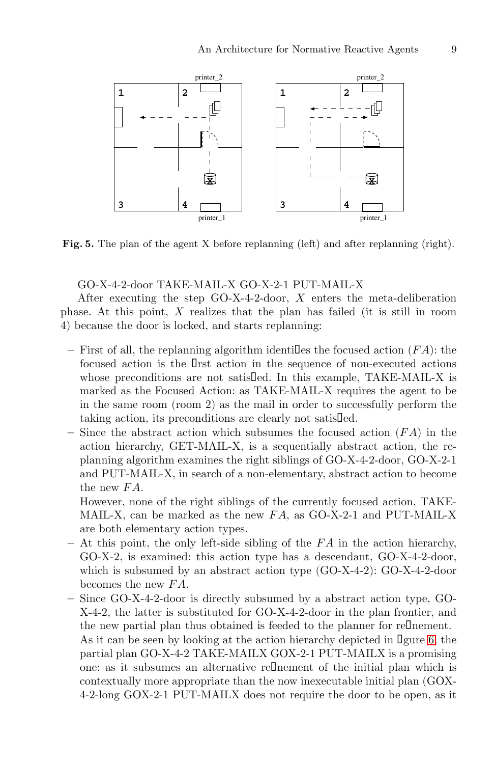<span id="page-8-0"></span>

Fig. 5. The plan of the agent X before replanning (left) and after replanning (right).

#### GO-X-4-2-door TAKE-MAIL-X GO-X-2-1 PUT-MAIL-X

After executing the step  $GO-X-4-2-door$ , X enters the meta-deliberation phase. At this point,  $X$  realizes that the plan has failed (it is still in room 4) because the door is locked, and starts replanning:

- $-$  First of all, the replanning algorithm identifies the focused action  $(FA)$ : the focused action is the first action in the sequence of non-executed actions whose preconditions are not satisfied.In this example, TAKE-MAIL-X is marked as the Focused Action: as TAKE-MAIL-X requires the agent to be in the same room (room 2) as the mail in order to successfully perform the taking action, its preconditions are clearly not satisfied.
- $-$  Since the abstract action which subsumes the focused action  $(FA)$  in the action hierarchy, GET-MAIL-X, is a sequentially abstract action, the replanning algorithm examines the right siblings of GO-X-4-2-door, GO-X-2-1 and PUT-MAIL-X, in search of a non-elementary, abstract action to become the new  $FA$ .

However, none of the right siblings of the currently focused action, TAKE-MAIL-X, can be marked as the new  $FA$ , as GO-X-2-1 and PUT-MAIL-X are both elementary action types.

- $-$  At this point, the only left-side sibling of the  $FA$  in the action hierarchy, GO-X-2, is examined: this action type has a descendant, GO-X-4-2-door, which is subsumed by an abstract action type (GO-X-4-2): GO-X-4-2-door becomes the new  $FA$ .
- **–** Since GO-X-4-2-door is directly subsumed by a abstract action type, GO-X-4-2, the latter is substituted for GO-X-4-2-door in the plan frontier, and the new partial plan thus obtained is feeded to the planner for refinement. As it can be seen by looking at the action hierarchy depicted in figure [6,](#page-10-0) the partial plan GO-X-4-2 TAKE-MAILX GOX-2-1 PUT-MAILX is a promising one: as it subsumes an alternative refinement of the initial plan which is contextually more appropriate than the now inexecutable initial plan (GOX-4-2-long GOX-2-1 PUT-MAILX does not require the door to be open, as it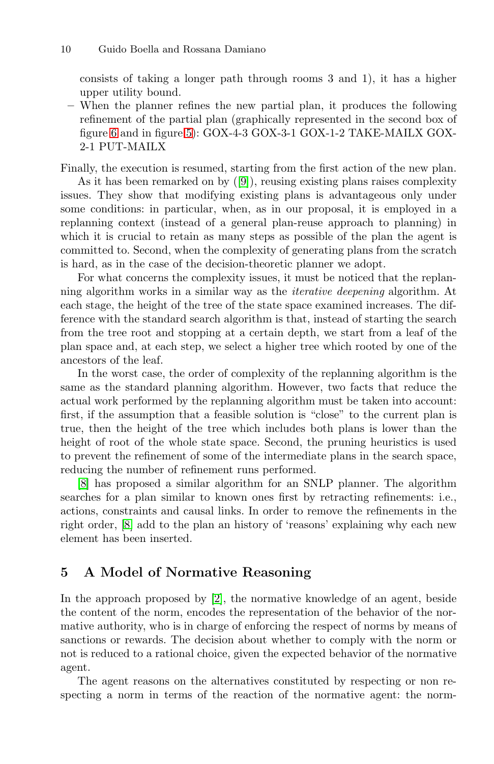consists of taking a longer path through rooms 3 and 1), it has a higher upper utility bound.

**–** When the planner refines the new partial plan, it produces the following refinement of the partial plan (graphically represented in the second box of figure [6](#page-10-0) and in figure [5\)](#page-8-0): GOX-4-3 GOX-3-1 GOX-1-2 TAKE-MAILX GOX-2-1 PUT-MAILX

Finally, the execution is resumed, starting from the first action of the new plan.

As it has been remarked on by ([\[9\]](#page-16-0)), reusing existing plans raises complexity issues.They show that modifying existing plans is advantageous only under some conditions: in particular, when, as in our proposal, it is employed in a replanning context (instead of a general plan-reuse approach to planning) in which it is crucial to retain as many steps as possible of the plan the agent is committed to.Second, when the complexity of generating plans from the scratch is hard, as in the case of the decision-theoretic planner we adopt.

For what concerns the complexity issues, it must be noticed that the replanning algorithm works in a similar way as the iterative deepening algorithm.At each stage, the height of the tree of the state space examined increases.The difference with the standard search algorithm is that, instead of starting the search from the tree root and stopping at a certain depth, we start from a leaf of the plan space and, at each step, we select a higher tree which rooted by one of the ancestors of the leaf.

In the worst case, the order of complexity of the replanning algorithm is the same as the standard planning algorithm.However, two facts that reduce the actual work performed by the replanning algorithm must be taken into account: first, if the assumption that a feasible solution is "close" to the current plan is true, then the height of the tree which includes both plans is lower than the height of root of the whole state space. Second, the pruning heuristics is used to prevent the refinement of some of the intermediate plans in the search space, reducing the number of refinement runs performed.

[\[8\]](#page-16-0) has proposed a similar algorithm for an SNLP planner.The algorithm searches for a plan similar to known ones first by retracting refinements: i.e., actions, constraints and causal links.In order to remove the refinements in the right order, [\[8\]](#page-16-0) add to the plan an history of 'reasons' explaining why each new element has been inserted.

# **5 A Model of Normative Reasoning**

In the approach proposed by [\[2\]](#page-15-0), the normative knowledge of an agent, beside the content of the norm, encodes the representation of the behavior of the normative authority, who is in charge of enforcing the respect of norms by means of sanctions or rewards. The decision about whether to comply with the norm or not is reduced to a rational choice, given the expected behavior of the normative agent.

The agent reasons on the alternatives constituted by respecting or non respecting a norm in terms of the reaction of the normative agent: the norm-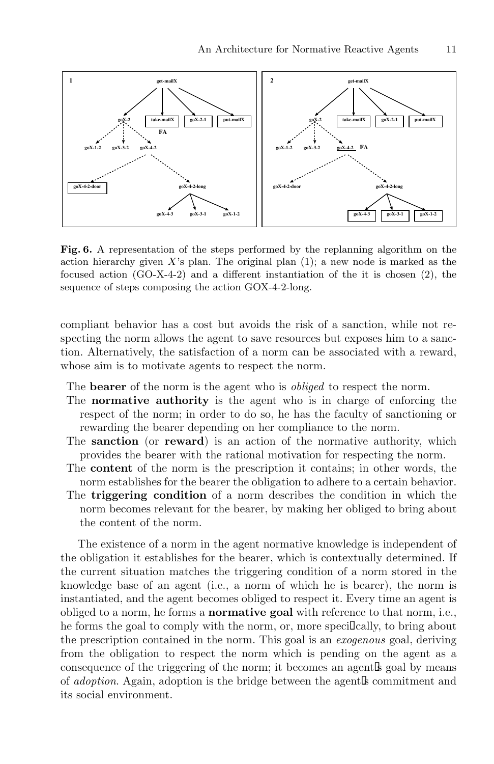<span id="page-10-0"></span>

**Fig. 6.** A representation of the steps performed by the replanning algorithm on the action hierarchy given X's plan. The original plan  $(1)$ ; a new node is marked as the focused action (GO-X-4-2) and a different instantiation of the it is chosen (2), the sequence of steps composing the action GOX-4-2-long.

compliant behavior has a cost but avoids the risk of a sanction, while not respecting the norm allows the agent to save resources but exposes him to a sanction.Alternatively, the satisfaction of a norm can be associated with a reward, whose aim is to motivate agents to respect the norm.

- The **bearer** of the norm is the agent who is obliged to respect the norm.
- The **normative authority** is the agent who is in charge of enforcing the respect of the norm; in order to do so, he has the faculty of sanctioning or rewarding the bearer depending on her compliance to the norm.
- The **sanction** (or **reward**) is an action of the normative authority, which provides the bearer with the rational motivation for respecting the norm.
- The **content** of the norm is the prescription it contains; in other words, the norm establishes for the bearer the obligation to adhere to a certain behavior.
- The **triggering condition** of a norm describes the condition in which the norm becomes relevant for the bearer, by making her obliged to bring about the content of the norm.

The existence of a norm in the agent normative knowledge is independent of the obligation it establishes for the bearer, which is contextually determined.If the current situation matches the triggering condition of a norm stored in the knowledge base of an agent (i.e., a norm of which he is bearer), the norm is instantiated, and the agent becomes obliged to respect it.Every time an agent is obliged to a norm, he forms a **normative goal** with reference to that norm, i.e., he forms the goal to comply with the norm, or, more specifically, to bring about the prescription contained in the norm. This goal is an *exogenous* goal, deriving from the obligation to respect the norm which is pending on the agent as a consequence of the triggering of the norm; it becomes an agent's goal by means of adoption.Again, adoption is the bridge between the agent's commitment and its social environment.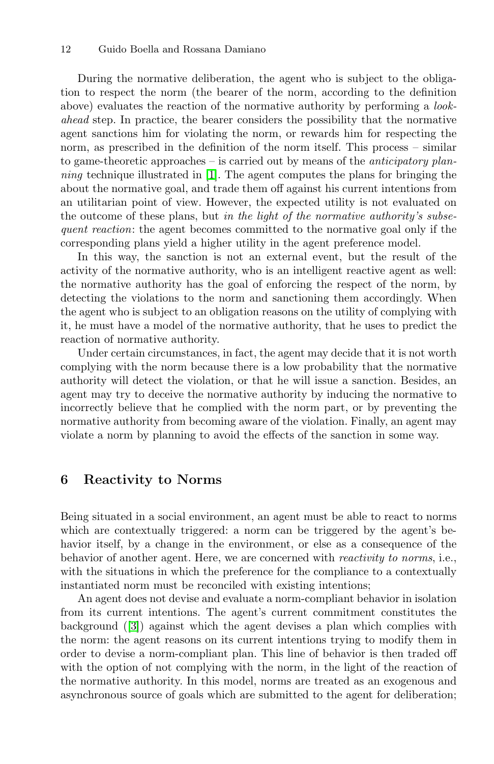During the normative deliberation, the agent who is subject to the obligation to respect the norm (the bearer of the norm, according to the definition above) evaluates the reaction of the normative authority by performing a *look*ahead step.In practice, the bearer considers the possibility that the normative agent sanctions him for violating the norm, or rewards him for respecting the norm, as prescribed in the definition of the norm itself. This process – similar to game-theoretic approaches – is carried out by means of the *anticipatory plan* $ning$  technique illustrated in [\[1\]](#page-15-0). The agent computes the plans for bringing the about the normative goal, and trade them off against his current intentions from an utilitarian point of view.However, the expected utility is not evaluated on the outcome of these plans, but in the light of the normative authority's subsequent reaction: the agent becomes committed to the normative goal only if the corresponding plans yield a higher utility in the agent preference model.

In this way, the sanction is not an external event, but the result of the activity of the normative authority, who is an intelligent reactive agent as well: the normative authority has the goal of enforcing the respect of the norm, by detecting the violations to the norm and sanctioning them accordingly.When the agent who is subject to an obligation reasons on the utility of complying with it, he must have a model of the normative authority, that he uses to predict the reaction of normative authority.

Under certain circumstances, in fact, the agent may decide that it is not worth complying with the norm because there is a low probability that the normative authority will detect the violation, or that he will issue a sanction. Besides, an agent may try to deceive the normative authority by inducing the normative to incorrectly believe that he complied with the norm part, or by preventing the normative authority from becoming aware of the violation. Finally, an agent may violate a norm by planning to avoid the effects of the sanction in some way.

# **6** Reactivity to Norms

Being situated in a social environment, an agent must be able to react to norms which are contextually triggered: a norm can be triggered by the agent's behavior itself, by a change in the environment, or else as a consequence of the behavior of another agent. Here, we are concerned with *reactivity to norms*, i.e., with the situations in which the preference for the compliance to a contextually instantiated norm must be reconciled with existing intentions;

An agent does not devise and evaluate a norm-compliant behavior in isolation from its current intentions.The agent's current commitment constitutes the background ([\[3\]](#page-15-0)) against which the agent devises a plan which complies with the norm: the agent reasons on its current intentions trying to modify them in order to devise a norm-compliant plan.This line of behavior is then traded off with the option of not complying with the norm, in the light of the reaction of the normative authority.In this model, norms are treated as an exogenous and asynchronous source of goals which are submitted to the agent for deliberation;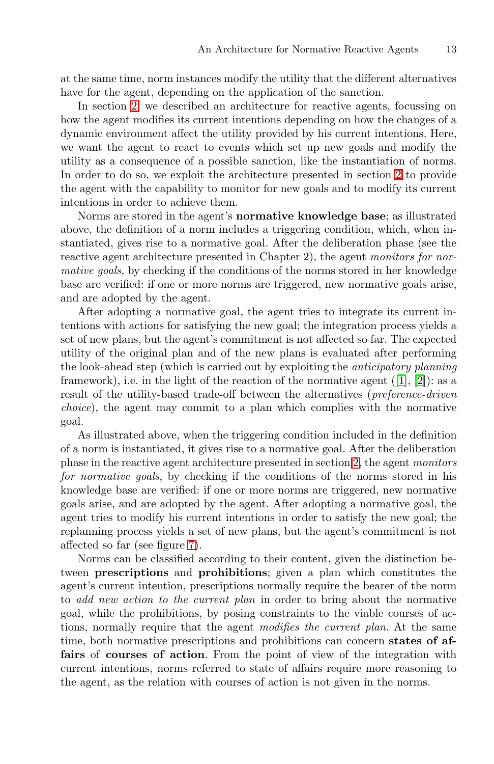at the same time, norm instances modify the utility that the different alternatives have for the agent, depending on the application of the sanction.

In section [2,](#page-1-0) we described an architecture for reactive agents, focussing on how the agent modifies its current intentions depending on how the changes of a dynamic environment affect the utility provided by his current intentions.Here, we want the agent to react to events which set up new goals and modify the utility as a consequence of a possible sanction, like the instantiation of norms. In order to do so, we exploit the architecture presented in section [2](#page-1-0) to provide the agent with the capability to monitor for new goals and to modify its current intentions in order to achieve them.

Norms are stored in the agent's **normative knowledge base**; as illustrated above, the definition of a norm includes a triggering condition, which, when instantiated, gives rise to a normative goal.After the deliberation phase (see the reactive agent architecture presented in Chapter 2), the agent monitors for normative goals, by checking if the conditions of the norms stored in her knowledge base are verified: if one or more norms are triggered, new normative goals arise, and are adopted by the agent.

After adopting a normative goal, the agent tries to integrate its current intentions with actions for satisfying the new goal; the integration process yields a set of new plans, but the agent's commitment is not affected so far.The expected utility of the original plan and of the new plans is evaluated after performing the look-ahead step (which is carried out by exploiting the anticipatory planning framework), i.e. in the light of the reaction of the normative agent  $([1], [2])$  $([1], [2])$  $([1], [2])$  $([1], [2])$  $([1], [2])$ : as a result of the utility-based trade-off between the alternatives (preference-driven choice), the agent may commit to a plan which complies with the normative goal.

As illustrated above, when the triggering condition included in the definition of a norm is instantiated, it gives rise to a normative goal.After the deliberation phase in the reactive agent architecture presented in section [2,](#page-1-0) the agent monitors for normative goals, by checking if the conditions of the norms stored in his knowledge base are verified: if one or more norms are triggered, new normative goals arise, and are adopted by the agent.After adopting a normative goal, the agent tries to modify his current intentions in order to satisfy the new goal; the replanning process yields a set of new plans, but the agent's commitment is not affected so far (see figure [7\)](#page-14-0).

Norms can be classified according to their content, given the distinction between **prescriptions** and **prohibitions**; given a plan which constitutes the agent's current intention, prescriptions normally require the bearer of the norm to add new action to the current plan in order to bring about the normative goal, while the prohibitions, by posing constraints to the viable courses of actions, normally require that the agent modifies the current plan. At the same time, both normative prescriptions and prohibitions can concern **states of af**fairs of **courses** of action. From the point of view of the integration with current intentions, norms referred to state of affairs require more reasoning to the agent, as the relation with courses of action is not given in the norms.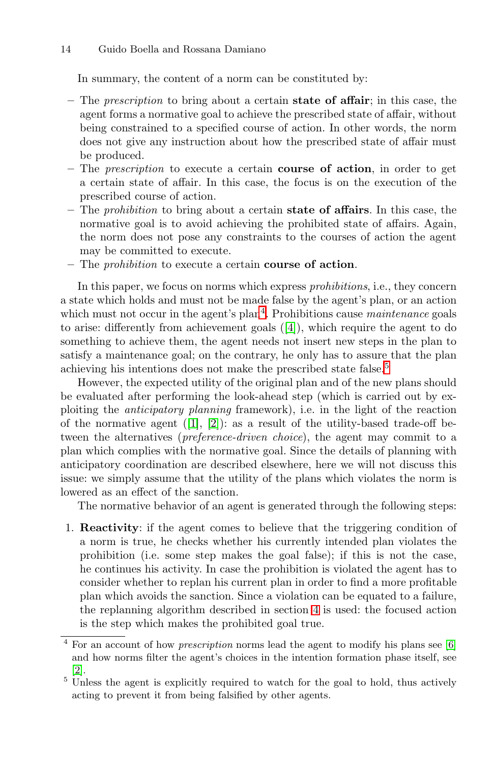In summary, the content of a norm can be constituted by:

- **–** The prescription to bring about a certain **state of affair**; in this case, the agent forms a normative goal to achieve the prescribed state of affair, without being constrained to a specified course of action.In other words, the norm does not give any instruction about how the prescribed state of affair must be produced.
- **–** The prescription to execute a certain **course of action**, in order to get a certain state of affair.In this case, the focus is on the execution of the prescribed course of action.
- **–** The prohibition to bring about a certain **state of affairs**.In this case, the normative goal is to avoid achieving the prohibited state of affairs. Again, the norm does not pose any constraints to the courses of action the agent may be committed to execute.
- **–** The prohibition to execute a certain **course of action**.

In this paper, we focus on norms which express prohibitions, i.e., they concern a state which holds and must not be made false by the agent's plan, or an action which must not occur in the agent's  $plan<sup>4</sup>$ . Prohibitions cause *maintenance* goals to arise: differently from achievement goals ([\[4\]](#page-15-0)), which require the agent to do something to achieve them, the agent needs not insert new steps in the plan to satisfy a maintenance goal; on the contrary, he only has to assure that the plan achieving his intentions does not make the prescribed state false.<sup>5</sup>

However, the expected utility of the original plan and of the new plans should be evaluated after performing the look-ahead step (which is carried out by exploiting the anticipatory planning framework), i.e. in the light of the reaction of the normative agent  $([1], [2])$  $([1], [2])$  $([1], [2])$  $([1], [2])$  $([1], [2])$ : as a result of the utility-based trade-off between the alternatives (preference-driven choice), the agent may commit to a plan which complies with the normative goal.Since the details of planning with anticipatory coordination are described elsewhere, here we will not discuss this issue: we simply assume that the utility of the plans which violates the norm is lowered as an effect of the sanction.

The normative behavior of an agent is generated through the following steps:

1. **Reactivity**: if the agent comes to believe that the triggering condition of a norm is true, he checks whether his currently intended plan violates the prohibition (i.e. some step makes the goal false); if this is not the case, he continues his activity.In case the prohibition is violated the agent has to consider whether to replan his current plan in order to find a more profitable plan which avoids the sanction.Since a violation can be equated to a failure, the replanning algorithm described in section [4](#page-4-0) is used: the focused action is the step which makes the prohibited goal true.

<sup>&</sup>lt;sup>4</sup> For an account of how *prescription* norms lead the agent to modify his plans see [\[6\]](#page-15-0) and how norms filter the agent's choices in the intention formation phase itself, see  $|2|.$ 

<sup>5</sup> Unless the agent is explicitly required to watch for the goal to hold, thus actively acting to prevent it from being falsified by other agents.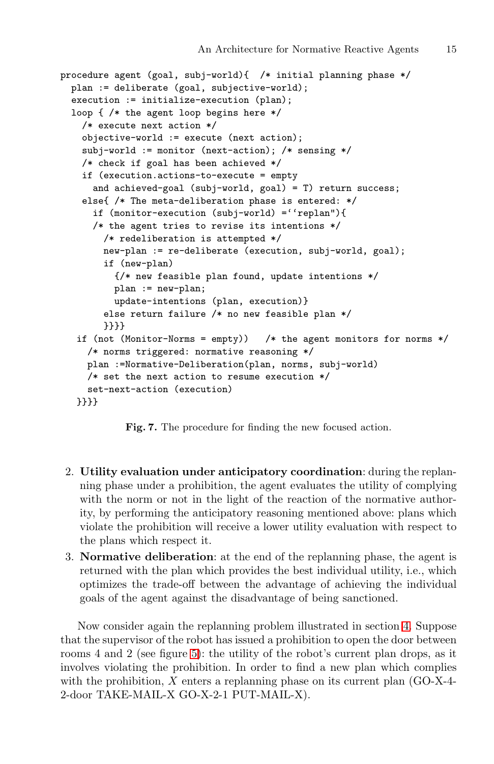```
procedure agent (goal, subj-world){ /* initial planning phase */
  plan := deliberate (goal, subjective-world);
  execution := initialize-execution (plan);
  loop { /* the agent loop begins here */
    /* execute next action */
    objective-world := execute (next action);
    subj-world := monitor (next-action); /* sensing */
    /* check if goal has been achieved */
    if (execution.actions-to-execute = empty
      and achieved-goal (subj-world, goal) = T) return success;
    else{ /* The meta-deliberation phase is entered: */
      if (monitor-execution (subj-world) = ''replan"){
      /* the agent tries to revise its intentions */
        /* redeliberation is attempted */
        new-plan := re-deliberate (execution, subj-world, goal);
        if (new-plan)
          {/* new feasible plan found, update intentions */
          plan := new-plan;
          update-intentions (plan, execution)}
        else return failure /* no new feasible plan */
        }}}}
   if (not (Monitor-Norms = empty)) /* the agent monitors for norms */
     /* norms triggered: normative reasoning */
     plan :=Normative-Deliberation(plan, norms, subj-world)
     /* set the next action to resume execution */
     set-next-action (execution)
   }}}}
```

```
Fig. 7. The procedure for finding the new focused action.
```
- 2. **Utility evaluation under anticipatory coordination**: during the replanning phase under a prohibition, the agent evaluates the utility of complying with the norm or not in the light of the reaction of the normative authority, by performing the anticipatory reasoning mentioned above: plans which violate the prohibition will receive a lower utility evaluation with respect to the plans which respect it.
- 3. **Normative deliberation**: at the end of the replanning phase, the agent is returned with the plan which provides the best individual utility, i.e., which optimizes the trade-off between the advantage of achieving the individual goals of the agent against the disadvantage of being sanctioned.

Now consider again the replanning problem illustrated in section [4.](#page-4-0)Suppose that the supervisor of the robot has issued a prohibition to open the door between rooms 4 and 2 (see figure [5\)](#page-8-0): the utility of the robot's current plan drops, as it involves violating the prohibition.In order to find a new plan which complies with the prohibition,  $X$  enters a replanning phase on its current plan (GO-X-4-2-door TAKE-MAIL-X GO-X-2-1 PUT-MAIL-X).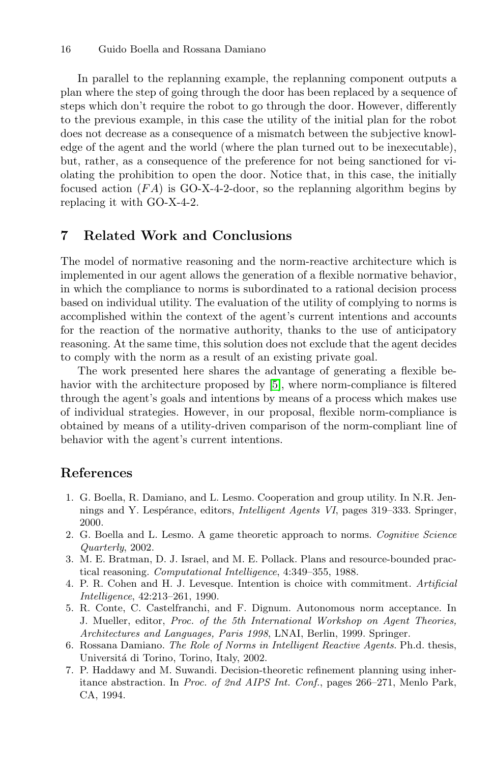<span id="page-15-0"></span>In parallel to the replanning example, the replanning component outputs a plan where the step of going through the door has been replaced by a sequence of steps which don't require the robot to go through the door. However, differently to the previous example, in this case the utility of the initial plan for the robot does not decrease as a consequence of a mismatch between the subjective knowledge of the agent and the world (where the plan turned out to be inexecutable), but, rather, as a consequence of the preference for not being sanctioned for violating the prohibition to open the door.Notice that, in this case, the initially focused action  $(FA)$  is GO-X-4-2-door, so the replanning algorithm begins by replacing it with GO-X-4-2.

### **7 Related Work and Conclusions**

The model of normative reasoning and the norm-reactive architecture which is implemented in our agent allows the generation of a flexible normative behavior, in which the compliance to norms is subordinated to a rational decision process based on individual utility.The evaluation of the utility of complying to norms is accomplished within the context of the agent's current intentions and accounts for the reaction of the normative authority, thanks to the use of anticipatory reasoning.At the same time, this solution does not exclude that the agent decides to comply with the norm as a result of an existing private goal.

The work presented here shares the advantage of generating a flexible behavior with the architecture proposed by [5], where norm-compliance is filtered through the agent's goals and intentions by means of a process which makes use of individual strategies.However, in our proposal, flexible norm-compliance is obtained by means of a utility-driven comparison of the norm-compliant line of behavior with the agent's current intentions.

# **References**

- 1. G. Boella, R. Damiano, and L. Lesmo. Cooperation and group utility. In N.R. Jennings and Y. Lespérance, editors, *Intelligent Agents VI*, pages 319–333. Springer, 2000.
- 2. G. Boella and L. Lesmo. A game theoretic approach to norms. Cognitive Science Quarterly, 2002.
- 3. M. E. Bratman, D. J. Israel, and M. E. Pollack. Plans and resource-bounded practical reasoning. Computational Intelligence, 4:349–355, 1988.
- 4. P. R. Cohen and H. J. Levesque. Intention is choice with commitment. Artificial Intelligence, 42:213–261, 1990.
- 5. R. Conte, C. Castelfranchi, and F. Dignum. Autonomous norm acceptance. In J. Mueller, editor, Proc. of the 5th International Workshop on Agent Theories, Architectures and Languages, Paris 1998, LNAI, Berlin, 1999. Springer.
- 6. Rossana Damiano. The Role of Norms in Intelligent Reactive Agents. Ph.d. thesis, Universitá di Torino, Torino, Italy, 2002.
- 7. P. Haddawy and M. Suwandi. Decision-theoretic refinement planning using inheritance abstraction. In Proc. of 2nd AIPS Int. Conf., pages 266–271, Menlo Park, CA, 1994.